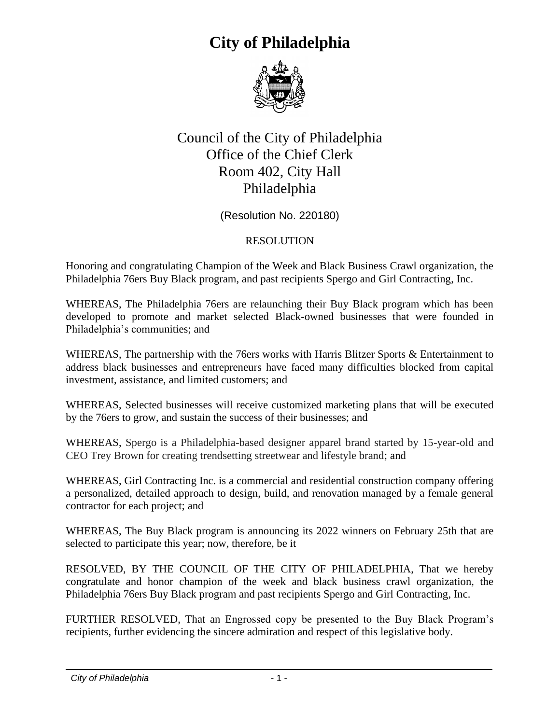## **City of Philadelphia**



## Council of the City of Philadelphia Office of the Chief Clerk Room 402, City Hall Philadelphia

(Resolution No. 220180)

## RESOLUTION

Honoring and congratulating Champion of the Week and Black Business Crawl organization, the Philadelphia 76ers Buy Black program, and past recipients Spergo and Girl Contracting, Inc.

WHEREAS, The Philadelphia 76ers are relaunching their Buy Black program which has been developed to promote and market selected Black-owned businesses that were founded in Philadelphia's communities; and

WHEREAS, The partnership with the 76ers works with Harris Blitzer Sports & Entertainment to address black businesses and entrepreneurs have faced many difficulties blocked from capital investment, assistance, and limited customers; and

WHEREAS, Selected businesses will receive customized marketing plans that will be executed by the 76ers to grow, and sustain the success of their businesses; and

WHEREAS, Spergo is a Philadelphia-based designer apparel brand started by 15-year-old and CEO Trey Brown for creating trendsetting streetwear and lifestyle brand; and

WHEREAS, Girl Contracting Inc. is a commercial and residential construction company offering a personalized, detailed approach to design, build, and renovation managed by a female general contractor for each project; and

WHEREAS, The Buy Black program is announcing its 2022 winners on February 25th that are selected to participate this year; now, therefore, be it

RESOLVED, BY THE COUNCIL OF THE CITY OF PHILADELPHIA, That we hereby congratulate and honor champion of the week and black business crawl organization, the Philadelphia 76ers Buy Black program and past recipients Spergo and Girl Contracting, Inc.

FURTHER RESOLVED, That an Engrossed copy be presented to the Buy Black Program's recipients, further evidencing the sincere admiration and respect of this legislative body.